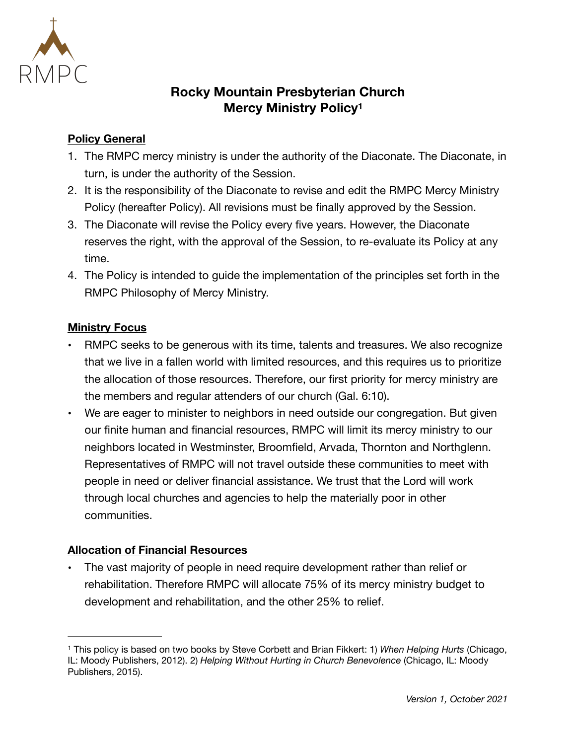

# <span id="page-0-1"></span>**Rocky Mountain Presbyterian Church Mercy Ministry Policy[1](#page-0-0)**

### **Policy General**

- 1. The RMPC mercy ministry is under the authority of the Diaconate. The Diaconate, in turn, is under the authority of the Session.
- 2. It is the responsibility of the Diaconate to revise and edit the RMPC Mercy Ministry Policy (hereafter Policy). All revisions must be finally approved by the Session.
- 3. The Diaconate will revise the Policy every five years. However, the Diaconate reserves the right, with the approval of the Session, to re-evaluate its Policy at any time.
- 4. The Policy is intended to guide the implementation of the principles set forth in the RMPC Philosophy of Mercy Ministry.

#### **Ministry Focus**

- **•** RMPC seeks to be generous with its time, talents and treasures. We also recognize that we live in a fallen world with limited resources, and this requires us to prioritize the allocation of those resources. Therefore, our first priority for mercy ministry are the members and regular attenders of our church (Gal. 6:10).
- **•** We are eager to minister to neighbors in need outside our congregation. But given our finite human and financial resources, RMPC will limit its mercy ministry to our neighbors located in Westminster, Broomfield, Arvada, Thornton and Northglenn. Representatives of RMPC will not travel outside these communities to meet with people in need or deliver financial assistance. We trust that the Lord will work through local churches and agencies to help the materially poor in other communities.

## **Allocation of Financial Resources**

**•** The vast majority of people in need require development rather than relief or rehabilitation. Therefore RMPC will allocate 75% of its mercy ministry budget to development and rehabilitation, and the other 25% to relief.

<span id="page-0-0"></span>This policy is based on two books by Steve Corbett and Brian Fikkert: 1) *When Helping Hurts* (Chicago, [1](#page-0-1) IL: Moody Publishers, 2012). 2) *Helping Without Hurting in Church Benevolence* (Chicago, IL: Moody Publishers, 2015).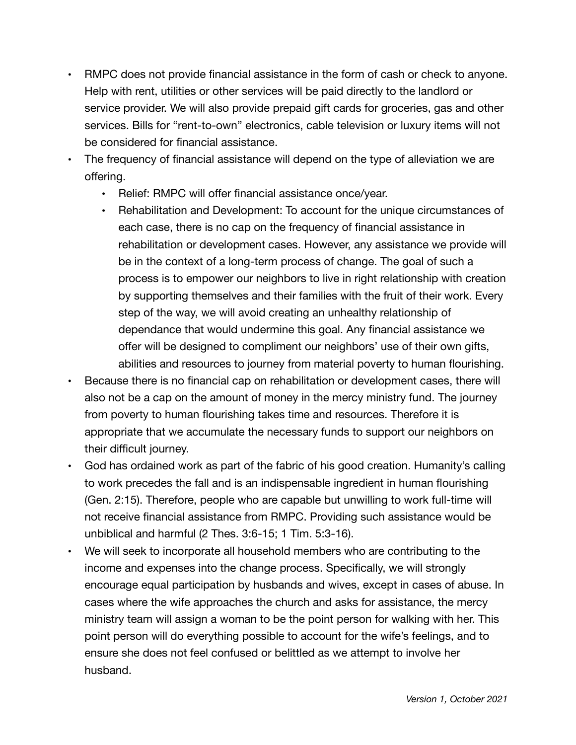- **•** RMPC does not provide financial assistance in the form of cash or check to anyone. Help with rent, utilities or other services will be paid directly to the landlord or service provider. We will also provide prepaid gift cards for groceries, gas and other services. Bills for "rent-to-own" electronics, cable television or luxury items will not be considered for financial assistance.
- **•** The frequency of financial assistance will depend on the type of alleviation we are offering.
	- **•** Relief: RMPC will offer financial assistance once/year.
	- **•** Rehabilitation and Development: To account for the unique circumstances of each case, there is no cap on the frequency of financial assistance in rehabilitation or development cases. However, any assistance we provide will be in the context of a long-term process of change. The goal of such a process is to empower our neighbors to live in right relationship with creation by supporting themselves and their families with the fruit of their work. Every step of the way, we will avoid creating an unhealthy relationship of dependance that would undermine this goal. Any financial assistance we offer will be designed to compliment our neighbors' use of their own gifts, abilities and resources to journey from material poverty to human flourishing.
- **•** Because there is no financial cap on rehabilitation or development cases, there will also not be a cap on the amount of money in the mercy ministry fund. The journey from poverty to human flourishing takes time and resources. Therefore it is appropriate that we accumulate the necessary funds to support our neighbors on their difficult journey.
- **•** God has ordained work as part of the fabric of his good creation. Humanity's calling to work precedes the fall and is an indispensable ingredient in human flourishing (Gen. 2:15). Therefore, people who are capable but unwilling to work full-time will not receive financial assistance from RMPC. Providing such assistance would be unbiblical and harmful (2 Thes. 3:6-15; 1 Tim. 5:3-16).
- **•** We will seek to incorporate all household members who are contributing to the income and expenses into the change process. Specifically, we will strongly encourage equal participation by husbands and wives, except in cases of abuse. In cases where the wife approaches the church and asks for assistance, the mercy ministry team will assign a woman to be the point person for walking with her. This point person will do everything possible to account for the wife's feelings, and to ensure she does not feel confused or belittled as we attempt to involve her husband.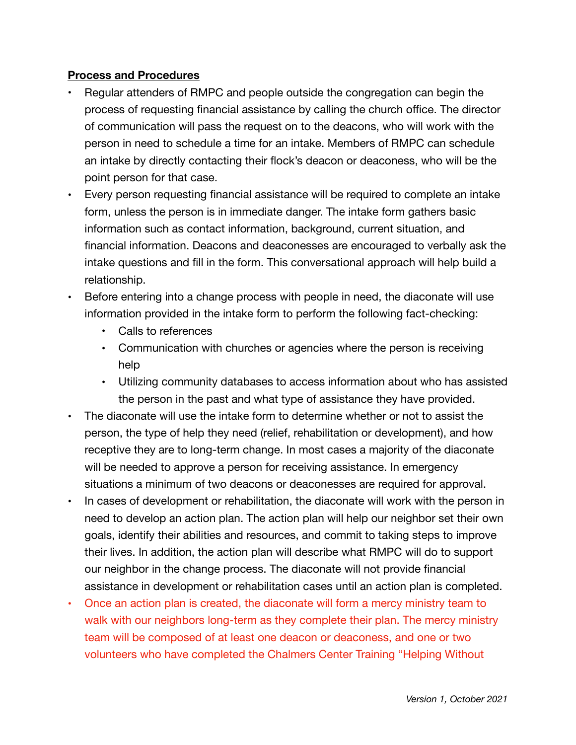#### **Process and Procedures**

- **•** Regular attenders of RMPC and people outside the congregation can begin the process of requesting financial assistance by calling the church office. The director of communication will pass the request on to the deacons, who will work with the person in need to schedule a time for an intake. Members of RMPC can schedule an intake by directly contacting their flock's deacon or deaconess, who will be the point person for that case.
- **•** Every person requesting financial assistance will be required to complete an intake form, unless the person is in immediate danger. The intake form gathers basic information such as contact information, background, current situation, and financial information. Deacons and deaconesses are encouraged to verbally ask the intake questions and fill in the form. This conversational approach will help build a relationship.
- **•** Before entering into a change process with people in need, the diaconate will use information provided in the intake form to perform the following fact-checking:
	- **•** Calls to references
	- **•** Communication with churches or agencies where the person is receiving help
	- **•** Utilizing community databases to access information about who has assisted the person in the past and what type of assistance they have provided.
- **•** The diaconate will use the intake form to determine whether or not to assist the person, the type of help they need (relief, rehabilitation or development), and how receptive they are to long-term change. In most cases a majority of the diaconate will be needed to approve a person for receiving assistance. In emergency situations a minimum of two deacons or deaconesses are required for approval.
- **•** In cases of development or rehabilitation, the diaconate will work with the person in need to develop an action plan. The action plan will help our neighbor set their own goals, identify their abilities and resources, and commit to taking steps to improve their lives. In addition, the action plan will describe what RMPC will do to support our neighbor in the change process. The diaconate will not provide financial assistance in development or rehabilitation cases until an action plan is completed.
- **•** Once an action plan is created, the diaconate will form a mercy ministry team to walk with our neighbors long-term as they complete their plan. The mercy ministry team will be composed of at least one deacon or deaconess, and one or two volunteers who have completed the Chalmers Center Training "Helping Without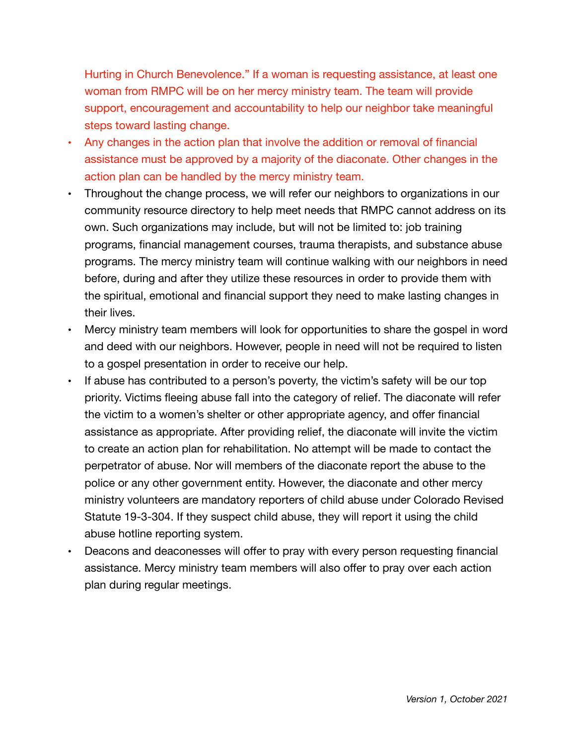Hurting in Church Benevolence." If a woman is requesting assistance, at least one woman from RMPC will be on her mercy ministry team. The team will provide support, encouragement and accountability to help our neighbor take meaningful steps toward lasting change.

- **•** Any changes in the action plan that involve the addition or removal of financial assistance must be approved by a majority of the diaconate. Other changes in the action plan can be handled by the mercy ministry team.
- **•** Throughout the change process, we will refer our neighbors to organizations in our community resource directory to help meet needs that RMPC cannot address on its own. Such organizations may include, but will not be limited to: job training programs, financial management courses, trauma therapists, and substance abuse programs. The mercy ministry team will continue walking with our neighbors in need before, during and after they utilize these resources in order to provide them with the spiritual, emotional and financial support they need to make lasting changes in their lives.
- **•** Mercy ministry team members will look for opportunities to share the gospel in word and deed with our neighbors. However, people in need will not be required to listen to a gospel presentation in order to receive our help.
- **•** If abuse has contributed to a person's poverty, the victim's safety will be our top priority. Victims fleeing abuse fall into the category of relief. The diaconate will refer the victim to a women's shelter or other appropriate agency, and offer financial assistance as appropriate. After providing relief, the diaconate will invite the victim to create an action plan for rehabilitation. No attempt will be made to contact the perpetrator of abuse. Nor will members of the diaconate report the abuse to the police or any other government entity. However, the diaconate and other mercy ministry volunteers are mandatory reporters of child abuse under Colorado Revised Statute 19-3-304. If they suspect child abuse, they will report it using the child abuse hotline reporting system.
- **•** Deacons and deaconesses will offer to pray with every person requesting financial assistance. Mercy ministry team members will also offer to pray over each action plan during regular meetings.